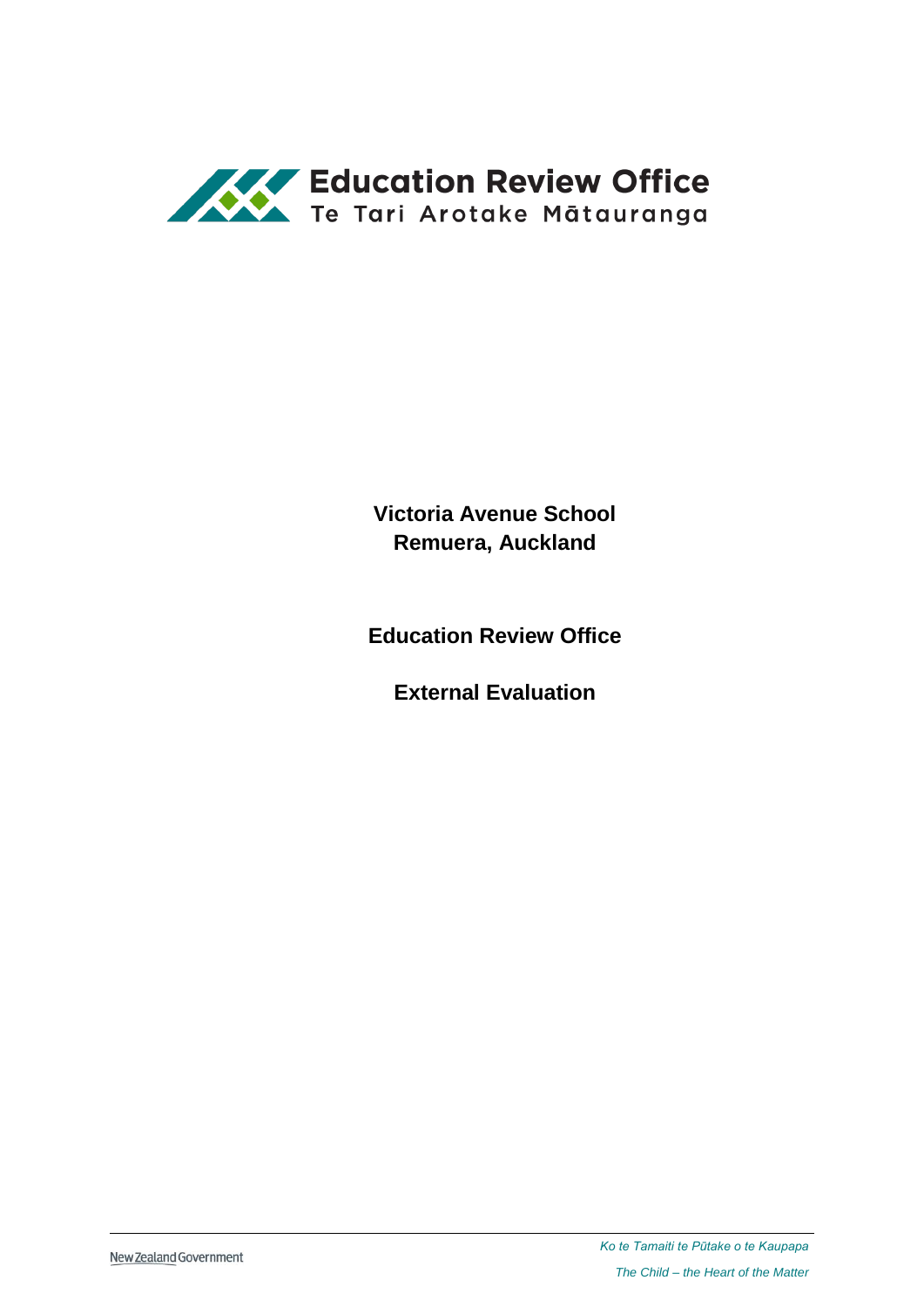

**Victoria Avenue School Remuera, Auckland**

**Education Review Office**

**External Evaluation**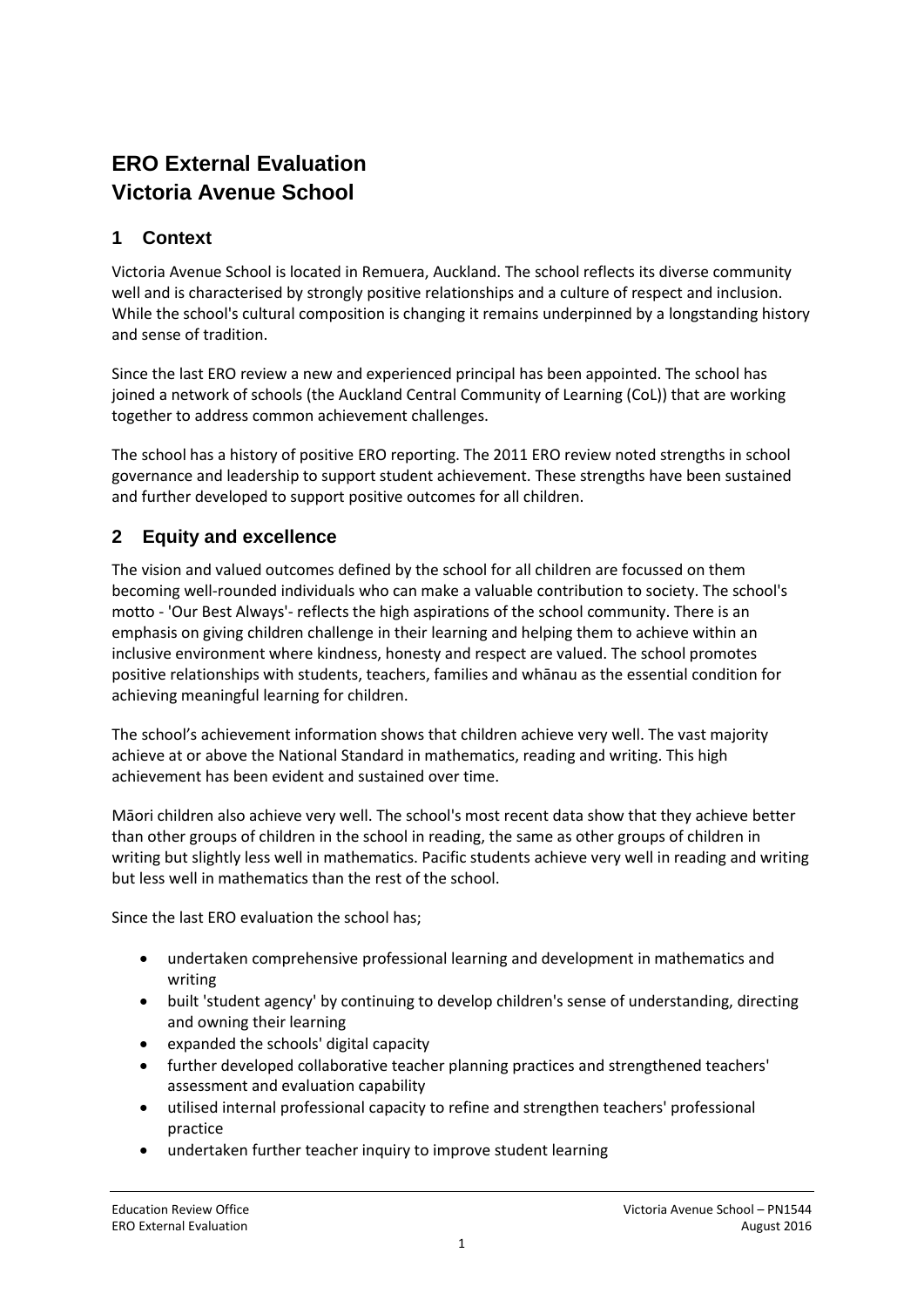# **ERO External Evaluation Victoria Avenue School**

# **1 Context**

Victoria Avenue School is located in Remuera, Auckland. The school reflects its diverse community well and is characterised by strongly positive relationships and a culture of respect and inclusion. While the school's cultural composition is changing it remains underpinned by a longstanding history and sense of tradition.

Since the last ERO review a new and experienced principal has been appointed. The school has joined a network of schools (the Auckland Central Community of Learning (CoL)) that are working together to address common achievement challenges.

The school has a history of positive ERO reporting. The 2011 ERO review noted strengths in school governance and leadership to support student achievement. These strengths have been sustained and further developed to support positive outcomes for all children.

### **2 Equity and excellence**

The vision and valued outcomes defined by the school for all children are focussed on them becoming well-rounded individuals who can make a valuable contribution to society. The school's motto - 'Our Best Always'- reflects the high aspirations of the school community. There is an emphasis on giving children challenge in their learning and helping them to achieve within an inclusive environment where kindness, honesty and respect are valued. The school promotes positive relationships with students, teachers, families and whānau as the essential condition for achieving meaningful learning for children.

The school's achievement information shows that children achieve very well. The vast majority achieve at or above the National Standard in mathematics, reading and writing. This high achievement has been evident and sustained over time.

Māori children also achieve very well. The school's most recent data show that they achieve better than other groups of children in the school in reading, the same as other groups of children in writing but slightly less well in mathematics. Pacific students achieve very well in reading and writing but less well in mathematics than the rest of the school.

Since the last ERO evaluation the school has;

- undertaken comprehensive professional learning and development in mathematics and writing
- built 'student agency' by continuing to develop children's sense of understanding, directing and owning their learning
- expanded the schools' digital capacity
- further developed collaborative teacher planning practices and strengthened teachers' assessment and evaluation capability
- utilised internal professional capacity to refine and strengthen teachers' professional practice
- undertaken further teacher inquiry to improve student learning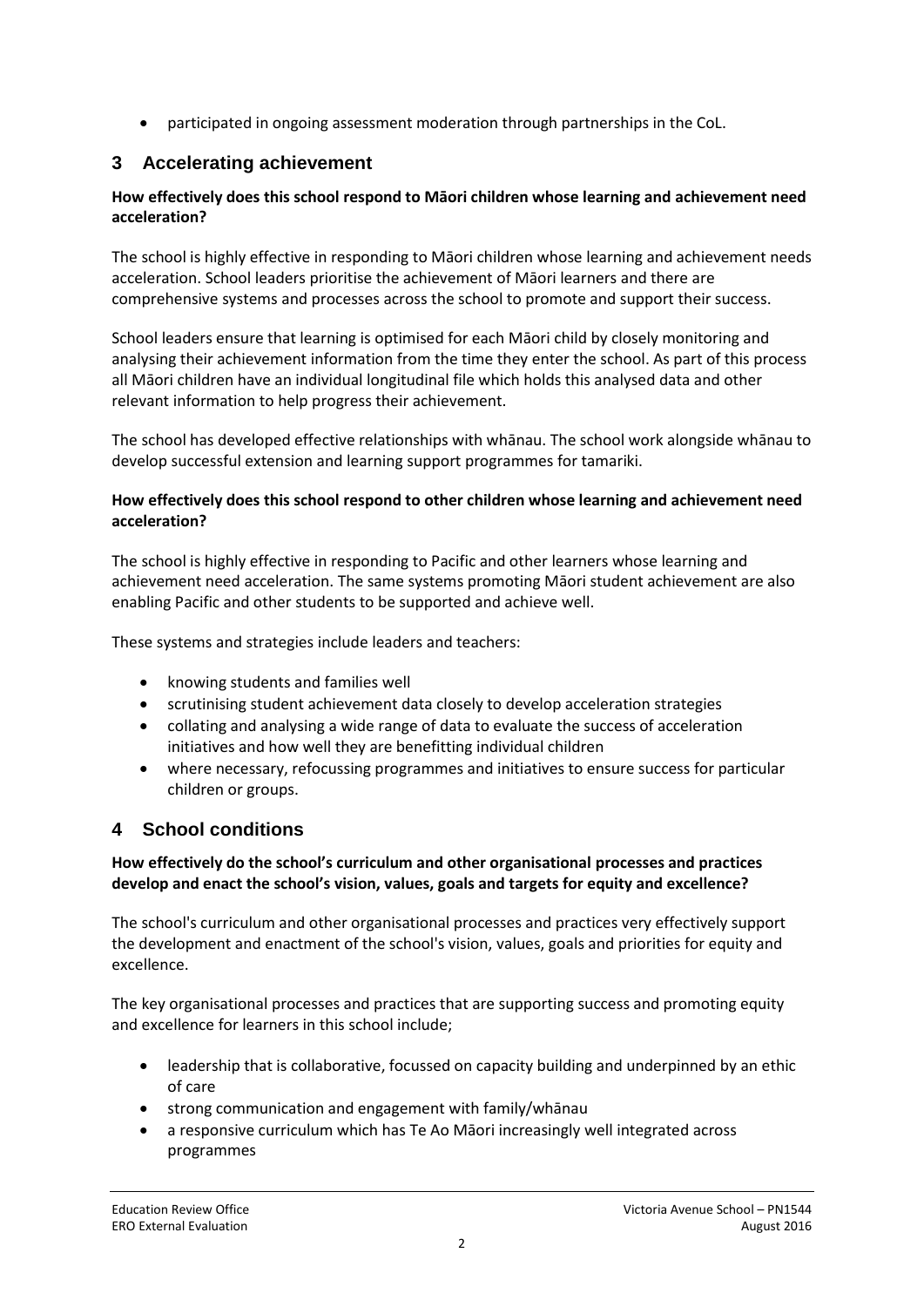participated in ongoing assessment moderation through partnerships in the CoL.

### **3 Accelerating achievement**

#### **How effectively does this school respond to Māori children whose learning and achievement need acceleration?**

The school is highly effective in responding to Māori children whose learning and achievement needs acceleration. School leaders prioritise the achievement of Māori learners and there are comprehensive systems and processes across the school to promote and support their success.

School leaders ensure that learning is optimised for each Māori child by closely monitoring and analysing their achievement information from the time they enter the school. As part of this process all Māori children have an individual longitudinal file which holds this analysed data and other relevant information to help progress their achievement.

The school has developed effective relationships with whānau. The school work alongside whānau to develop successful extension and learning support programmes for tamariki.

#### **How effectively does this school respond to other children whose learning and achievement need acceleration?**

The school is highly effective in responding to Pacific and other learners whose learning and achievement need acceleration. The same systems promoting Māori student achievement are also enabling Pacific and other students to be supported and achieve well.

These systems and strategies include leaders and teachers:

- knowing students and families well
- scrutinising student achievement data closely to develop acceleration strategies
- collating and analysing a wide range of data to evaluate the success of acceleration initiatives and how well they are benefitting individual children
- where necessary, refocussing programmes and initiatives to ensure success for particular children or groups.

### **4 School conditions**

#### **How effectively do the school's curriculum and other organisational processes and practices develop and enact the school's vision, values, goals and targets for equity and excellence?**

The school's curriculum and other organisational processes and practices very effectively support the development and enactment of the school's vision, values, goals and priorities for equity and excellence.

The key organisational processes and practices that are supporting success and promoting equity and excellence for learners in this school include;

- leadership that is collaborative, focussed on capacity building and underpinned by an ethic of care
- strong communication and engagement with family/whānau
- a responsive curriculum which has Te Ao Māori increasingly well integrated across programmes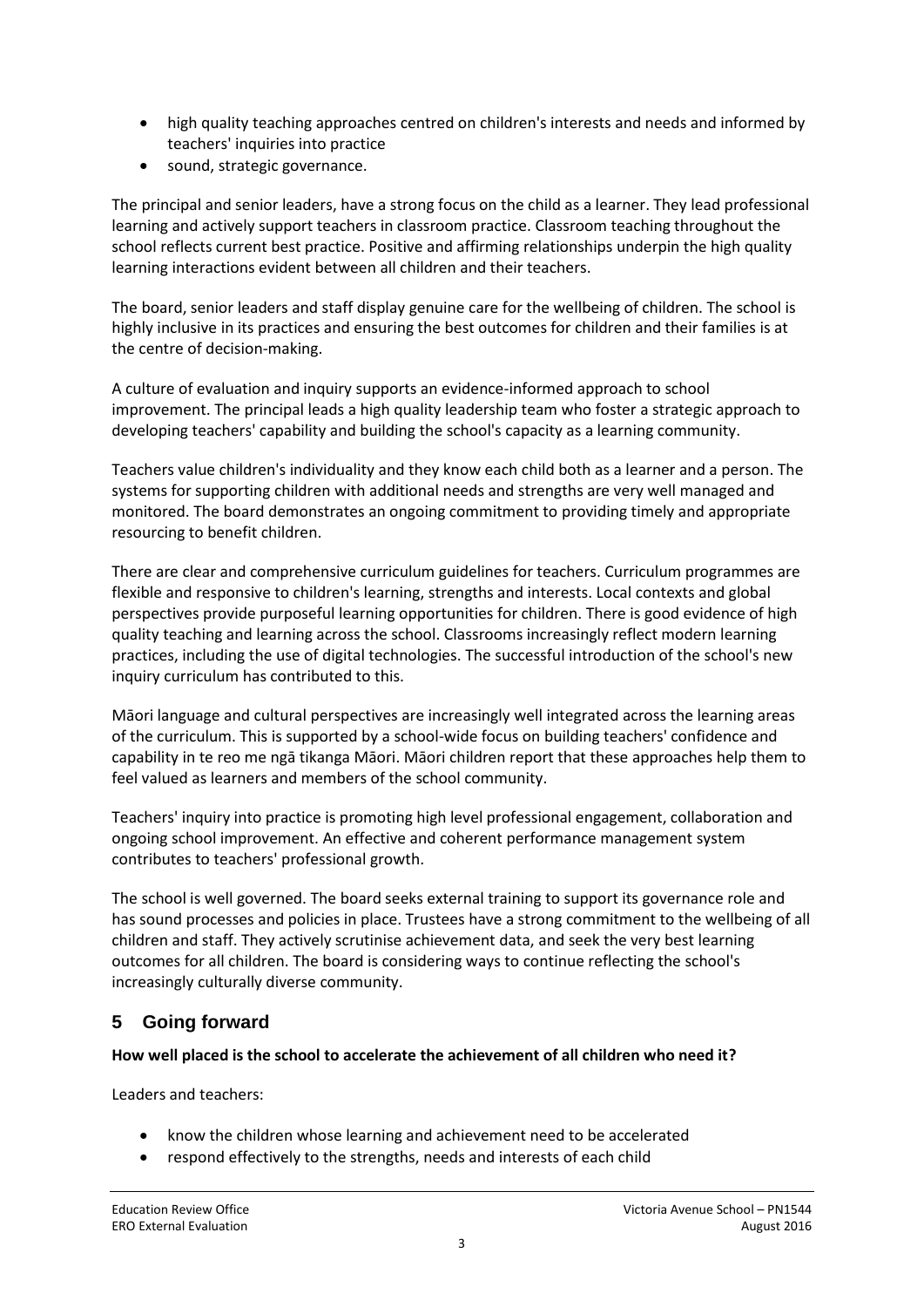- high quality teaching approaches centred on children's interests and needs and informed by teachers' inquiries into practice
- sound, strategic governance.

The principal and senior leaders, have a strong focus on the child as a learner. They lead professional learning and actively support teachers in classroom practice. Classroom teaching throughout the school reflects current best practice. Positive and affirming relationships underpin the high quality learning interactions evident between all children and their teachers.

The board, senior leaders and staff display genuine care for the wellbeing of children. The school is highly inclusive in its practices and ensuring the best outcomes for children and their families is at the centre of decision-making.

A culture of evaluation and inquiry supports an evidence-informed approach to school improvement. The principal leads a high quality leadership team who foster a strategic approach to developing teachers' capability and building the school's capacity as a learning community.

Teachers value children's individuality and they know each child both as a learner and a person. The systems for supporting children with additional needs and strengths are very well managed and monitored. The board demonstrates an ongoing commitment to providing timely and appropriate resourcing to benefit children.

There are clear and comprehensive curriculum guidelines for teachers. Curriculum programmes are flexible and responsive to children's learning, strengths and interests. Local contexts and global perspectives provide purposeful learning opportunities for children. There is good evidence of high quality teaching and learning across the school. Classrooms increasingly reflect modern learning practices, including the use of digital technologies. The successful introduction of the school's new inquiry curriculum has contributed to this.

Māori language and cultural perspectives are increasingly well integrated across the learning areas of the curriculum. This is supported by a school-wide focus on building teachers' confidence and capability in te reo me ngā tikanga Māori. Māori children report that these approaches help them to feel valued as learners and members of the school community.

Teachers' inquiry into practice is promoting high level professional engagement, collaboration and ongoing school improvement. An effective and coherent performance management system contributes to teachers' professional growth.

The school is well governed. The board seeks external training to support its governance role and has sound processes and policies in place. Trustees have a strong commitment to the wellbeing of all children and staff. They actively scrutinise achievement data, and seek the very best learning outcomes for all children. The board is considering ways to continue reflecting the school's increasingly culturally diverse community.

# **5 Going forward**

### **How well placed is the school to accelerate the achievement of all children who need it?**

Leaders and teachers:

- know the children whose learning and achievement need to be accelerated
- respond effectively to the strengths, needs and interests of each child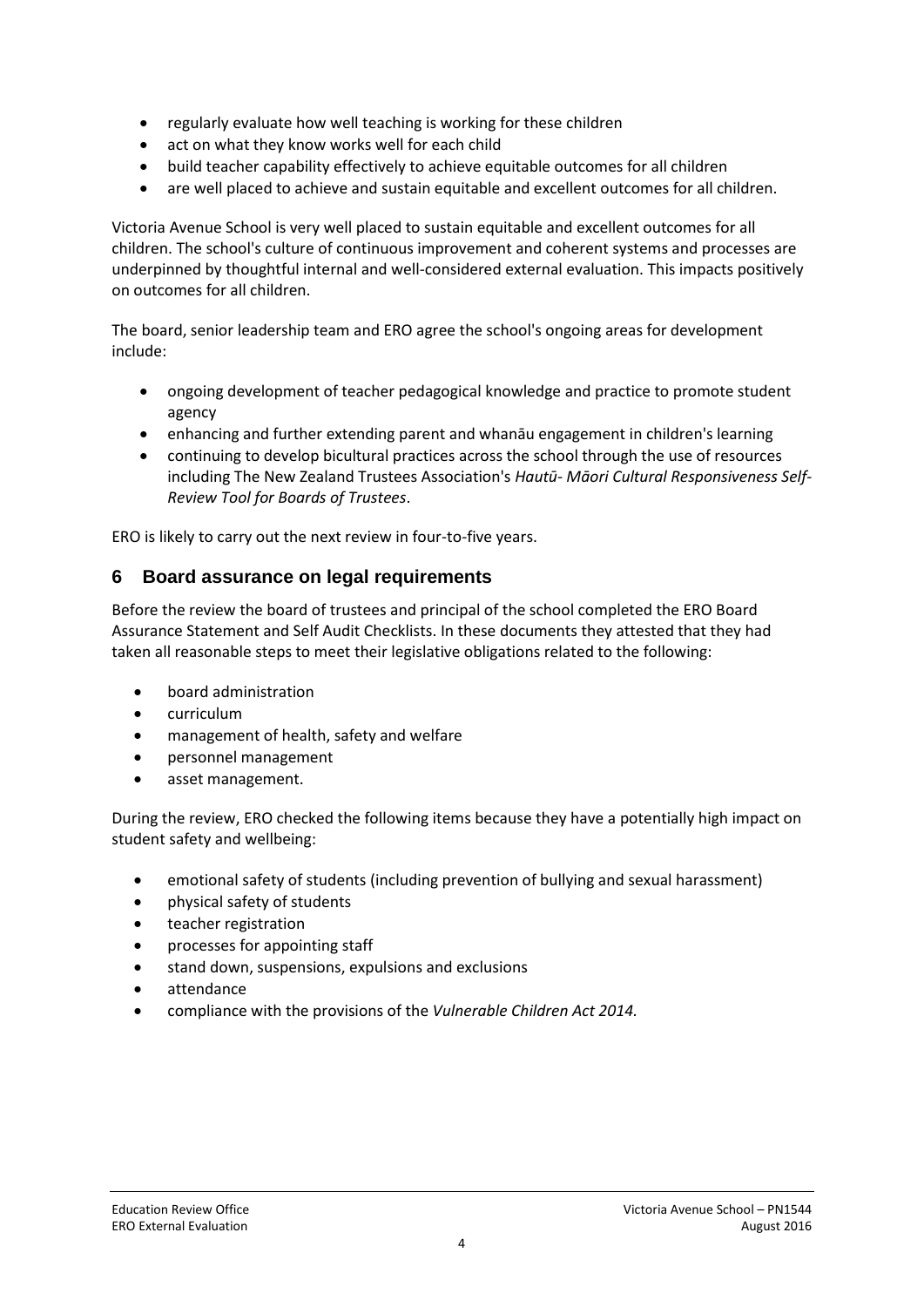- regularly evaluate how well teaching is working for these children
- act on what they know works well for each child
- build teacher capability effectively to achieve equitable outcomes for all children
- are well placed to achieve and sustain equitable and excellent outcomes for all children.

Victoria Avenue School is very well placed to sustain equitable and excellent outcomes for all children. The school's culture of continuous improvement and coherent systems and processes are underpinned by thoughtful internal and well-considered external evaluation. This impacts positively on outcomes for all children.

The board, senior leadership team and ERO agree the school's ongoing areas for development include:

- ongoing development of teacher pedagogical knowledge and practice to promote student agency
- enhancing and further extending parent and whanāu engagement in children's learning
- continuing to develop bicultural practices across the school through the use of resources including The New Zealand Trustees Association's *Hautū- Māori Cultural Responsiveness Self-Review Tool for Boards of Trustees*.

ERO is likely to carry out the next review in four-to-five years.

### **6 Board assurance on legal requirements**

Before the review the board of trustees and principal of the school completed the ERO Board Assurance Statement and Self Audit Checklists. In these documents they attested that they had taken all reasonable steps to meet their legislative obligations related to the following:

- board administration
- curriculum
- management of health, safety and welfare
- personnel management
- asset management.

During the review, ERO checked the following items because they have a potentially high impact on student safety and wellbeing:

- emotional safety of students (including prevention of bullying and sexual harassment)
- physical safety of students
- teacher registration
- processes for appointing staff
- stand down, suspensions, expulsions and exclusions
- attendance
- compliance with the provisions of the *Vulnerable Children Act 2014.*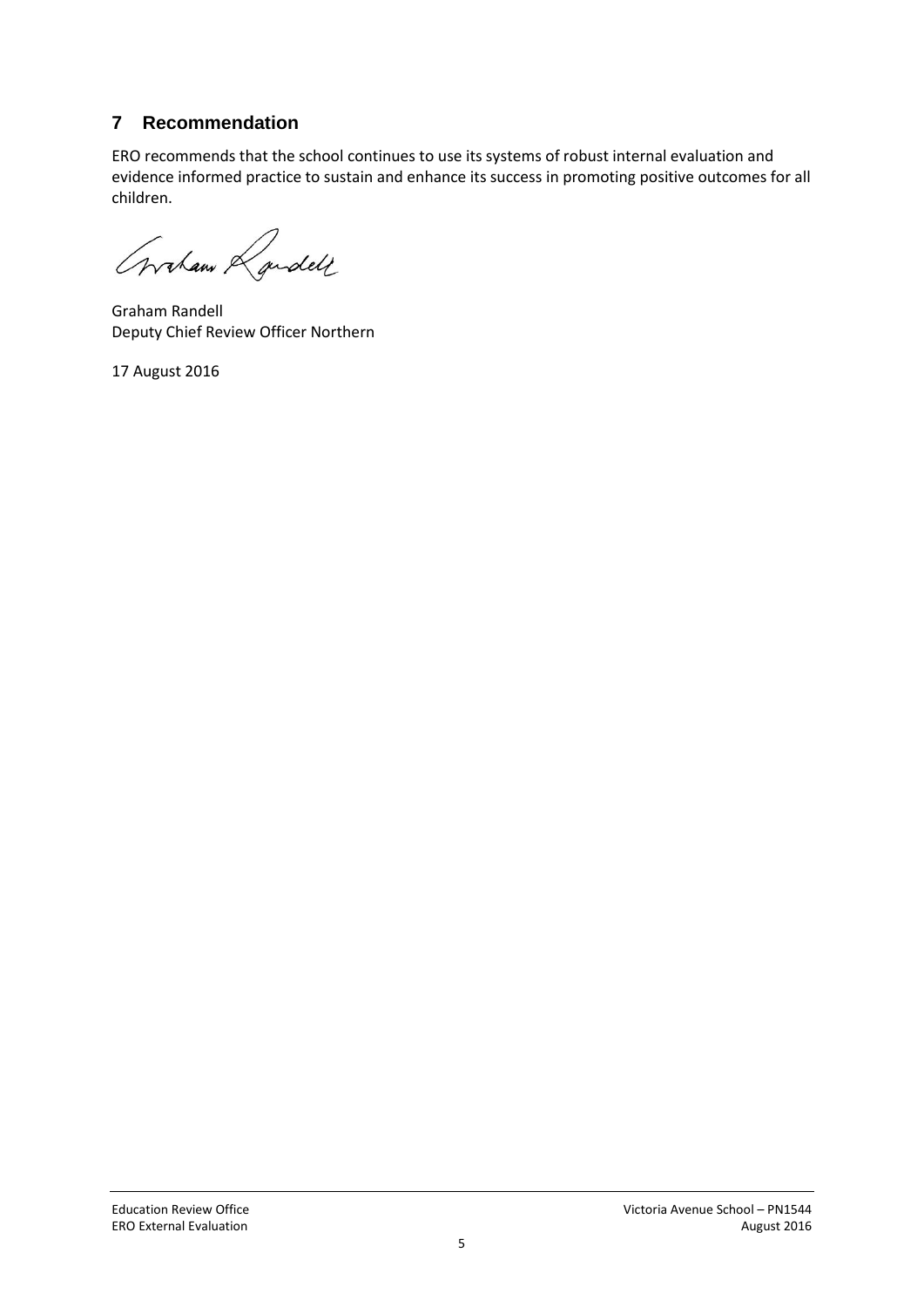# **7 Recommendation**

ERO recommends that the school continues to use its systems of robust internal evaluation and evidence informed practice to sustain and enhance its success in promoting positive outcomes for all children.

Graham Randell

Graham Randell Deputy Chief Review Officer Northern

17 August 2016